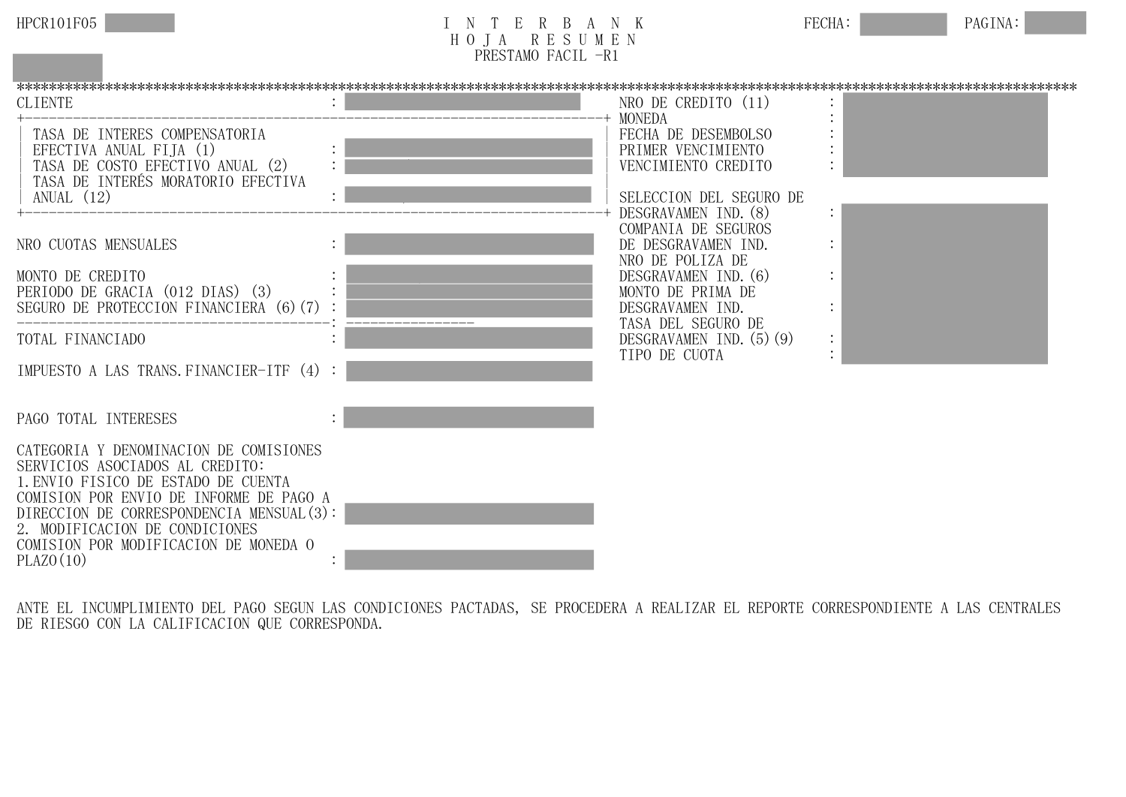| HPCR101F05 |  |
|------------|--|
|------------|--|

| HPCR101F05 | B<br>. T F<br>$\mathbb{R}$ | FECHA: | PAGINA: |  |
|------------|----------------------------|--------|---------|--|
|            | HOJA<br>RESUMEN            |        |         |  |
|            | PRESTAMO FACIL -R1         |        |         |  |
|            |                            |        |         |  |

| <b>CLIENTE</b>                                                                                                                                                                                                                                                                                  | NRO DE CREDITO (11)                                                                                                                                                           |  |
|-------------------------------------------------------------------------------------------------------------------------------------------------------------------------------------------------------------------------------------------------------------------------------------------------|-------------------------------------------------------------------------------------------------------------------------------------------------------------------------------|--|
| TASA DE INTERES COMPENSATORIA<br>EFECTIVA ANUAL FIJA (1)<br>TASA DE COSTO EFECTIVO ANUAL (2)<br>TASA DE INTERÉS MORATORIO EFECTIVA<br>ANUAL $(12)$                                                                                                                                              | MONEDA<br>FECHA DE DESEMBOLSO<br>PRIMER VENCIMIENTO<br>VENCIMIENTO CREDITO<br>SELECCION DEL SEGURO DE                                                                         |  |
| NRO CUOTAS MENSUALES<br>MONTO DE CREDITO<br>PERIODO DE GRACIA (012 DIAS) (3)<br>SEGURO DE PROTECCION FINANCIERA (6) (7)                                                                                                                                                                         | DESGRAVAMEN IND. (8)<br>COMPANIA DE SEGUROS<br>DE DESGRAVAMEN IND.<br>NRO DE POLIZA DE<br>DESGRAVAMEN IND. (6)<br>MONTO DE PRIMA DE<br>DESGRAVAMEN IND.<br>TASA DEL SEGURO DE |  |
| TOTAL FINANCIADO                                                                                                                                                                                                                                                                                | DESGRAVAMEN IND. (5) (9)<br>TIPO DE CUOTA                                                                                                                                     |  |
| IMPUESTO A LAS TRANS. FINANCIER-ITF (4):                                                                                                                                                                                                                                                        |                                                                                                                                                                               |  |
| PAGO TOTAL INTERESES                                                                                                                                                                                                                                                                            |                                                                                                                                                                               |  |
| CATEGORIA Y DENOMINACION DE COMISIONES<br>SERVICIOS ASOCIADOS AL CREDITO:<br>1. ENVIO FISICO DE ESTADO DE CUENTA<br>COMISION POR ENVIO DE INFORME DE PAGO A<br>DIRECCION DE CORRESPONDENCIA MENSUAL(3):<br>2. MODIFICACION DE CONDICIONES<br>COMISION POR MODIFICACION DE MONEDA O<br>PLAZO(10) |                                                                                                                                                                               |  |

ANTE EL INCUMPLIMIENTO DEL PAGO SEGUN LAS CONDICIONES PACTADAS, SE PROCEDERA A REALIZAR EL REPORTE CORRESPONDIENTE A LAS CENTRALES DE RIESGO CON LA CALIFICACION QUE CORRESPONDA.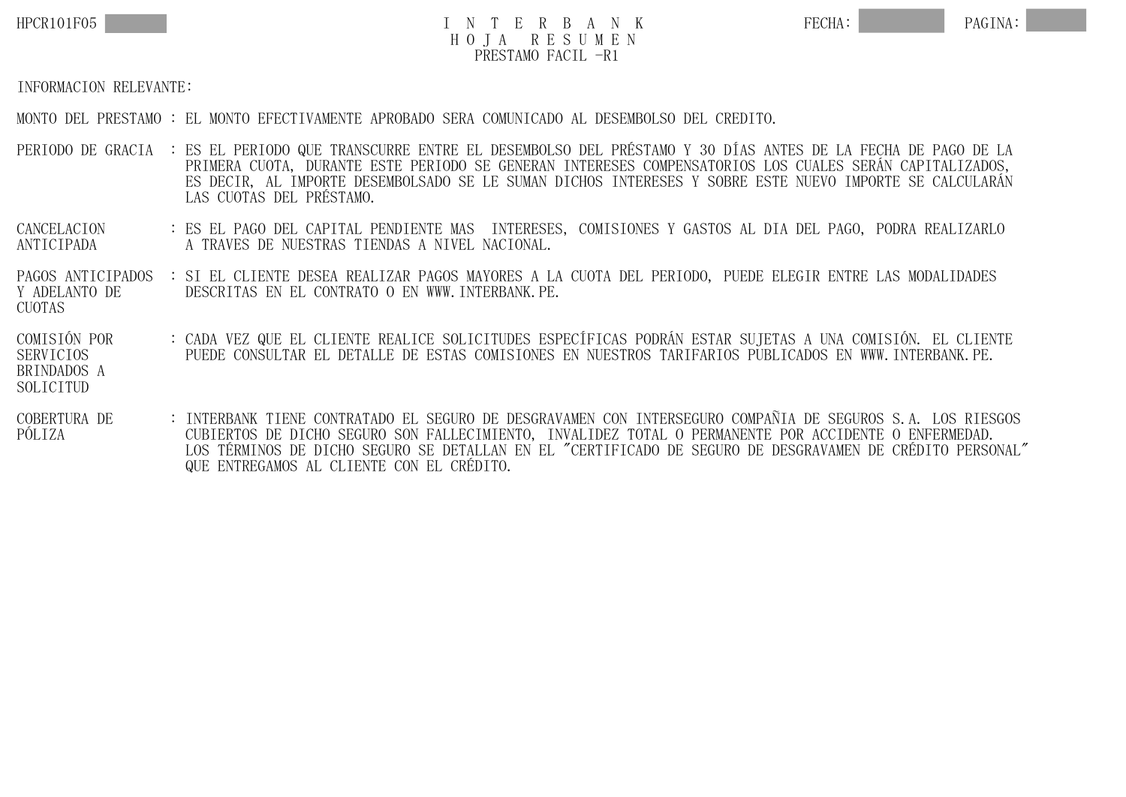

## HPCR101F05 TO TERBANK FECHA: PAGINA: H O J A R E S U M E N PRESTAMO FACIL -R1

INFORMACION RELEVANTE:

MONTO DEL PRESTAMO : EL MONTO EFECTIVAMENTE APROBADO SERA COMUNICADO AL DESEMBOLSO DEL CREDITO.

- PERIODO DE GRACIA : ES EL PERIODO QUE TRANSCURRE ENTRE EL DESEMBOLSO DEL PRÉSTAMO Y 30 DÍAS ANTES DE LA FECHA DE PAGO DE LA PRIMERA CUOTA, DURANTE ESTE PERIODO SE GENERAN INTERESES COMPENSATORIOS LOS CUALES SERÁN CAPITALIZADOS, ES DECIR, AL IMPORTE DESEMBOLSADO SE LE SUMAN DICHOS INTERESES Y SOBRE ESTE NUEVO IMPORTE SE CALCULARÁN LAS CUOTAS DEL PRÉSTAMO.
- CANCELACION : ES EL PAGO DEL CAPITAL PENDIENTE MAS INTERESES, COMISIONES Y GASTOS AL DIA DEL PAGO, PODRA REALIZARLO A TRAVES DE NUESTRAS TIENDAS A NIVEL NACIONAL.
- PAGOS ANTICIPADOS : SI EL CLIENTE DESEA REALIZAR PAGOS MAYORES A LA CUOTA DEL PERIODO, PUEDE ELEGIR ENTRE LAS MODALIDADES Y ADELANTO DE DESCRITAS EN EL CONTRATO O EN WWW. INTERBANK. PE. CUOTAS
- COMISIÓN POR : CADA VEZ QUE EL CLIENTE REALICE SOLICITUDES ESPECÍFICAS PODRÁN ESTAR SUJETAS A UNA COMISIÓN. EL CLIENTE SERVICIOS PUEDE CONSULTAR EL DETALLE DE ESTAS COMISIONES EN NUESTROS TARIFARIOS PUBLICADOS EN WWW.INTERBANK.PE. BRINDADOS A SOLICITUD
- COBERTURA DE : INTERBANK TIENE CONTRATADO EL SEGURO DE DESGRAVAMEN CON INTERSEGURO COMPAÑIA DE SEGUROS S.A. LOS RIESGOS PÓLIZA CUBIERTOS DE DICHO SEGURO SON FALLECIMIENTO, INVALIDEZ TOTAL O PERMANENTE POR ACCIDENTE O ENFERMEDAD. LOS TÉRMINOS DE DICHO SEGURO SE DETALLAN EN EL "CERTIFICADO DE SEGURO DE DESGRAVAMEN DE CRÉDITO PERSONAL" QUE ENTREGAMOS AL CLIENTE CON EL CRÉDITO.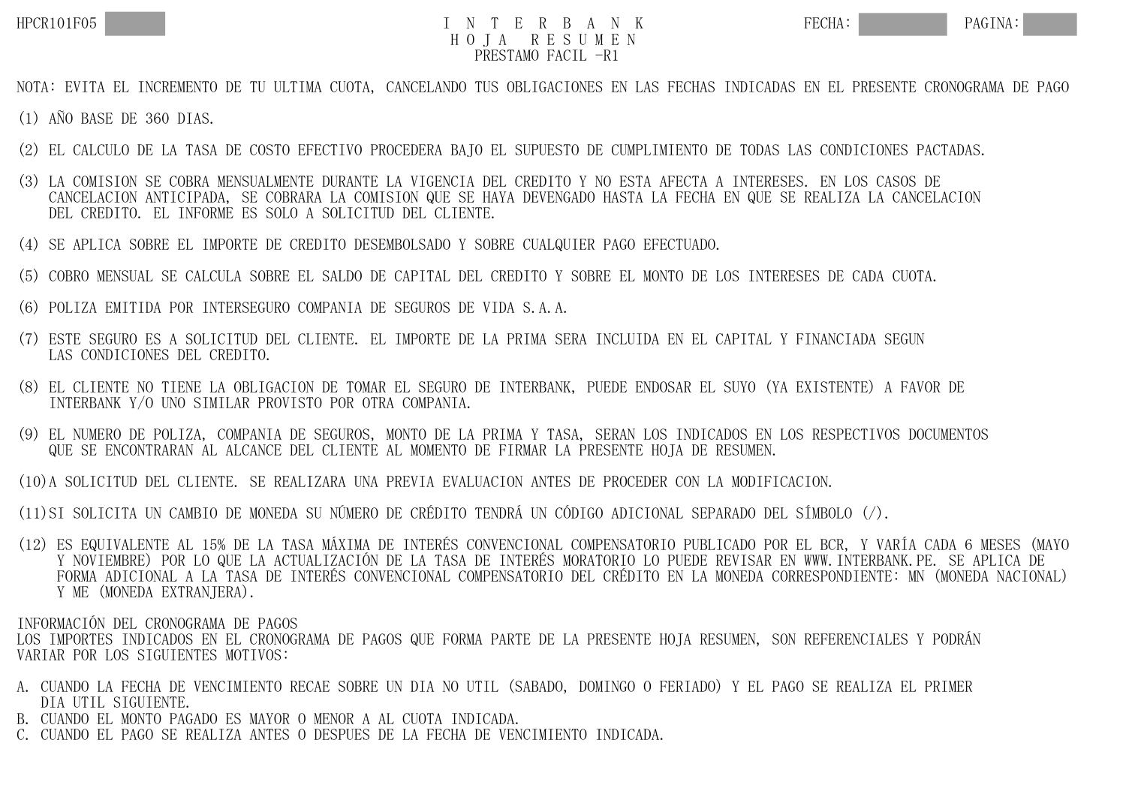## H O J A R E S U M E N PRESTAMO FACIL -R1

NOTA: EVITA EL INCREMENTO DE TU ULTIMA CUOTA, CANCELANDO TUS OBLIGACIONES EN LAS FECHAS INDICADAS EN EL PRESENTE CRONOGRAMA DE PAGO

(1) AÑO BASE DE 360 DIAS.

- (2) EL CALCULO DE LA TASA DE COSTO EFECTIVO PROCEDERA BAJO EL SUPUESTO DE CUMPLIMIENTO DE TODAS LAS CONDICIONES PACTADAS.
- (3) LA COMISION SE COBRA MENSUALMENTE DURANTE LA VIGENCIA DEL CREDITO Y NO ESTA AFECTA A INTERESES. EN LOS CASOS DE CANCELACION ANTICIPADA, SE COBRARA LA COMISION QUE SE HAYA DEVENGADO HASTA LA FECHA EN QUE SE REALIZA LA CANCELACION DEL CREDITO. EL INFORME ES SOLO A SOLICITUD DEL CLIENTE.
- (4) SE APLICA SOBRE EL IMPORTE DE CREDITO DESEMBOLSADO Y SOBRE CUALQUIER PAGO EFECTUADO.
- (5) COBRO MENSUAL SE CALCULA SOBRE EL SALDO DE CAPITAL DEL CREDITO Y SOBRE EL MONTO DE LOS INTERESES DE CADA CUOTA.
- (6) POLIZA EMITIDA POR INTERSEGURO COMPANIA DE SEGUROS DE VIDA S.A.A.
- (7) ESTE SEGURO ES A SOLICITUD DEL CLIENTE. EL IMPORTE DE LA PRIMA SERA INCLUIDA EN EL CAPITAL Y FINANCIADA SEGUN LAS CONDICIONES DEL CREDITO.
- (8) EL CLIENTE NO TIENE LA OBLIGACION DE TOMAR EL SEGURO DE INTERBANK, PUEDE ENDOSAR EL SUYO (YA EXISTENTE) A FAVOR DE INTERBANK Y/O UNO SIMILAR PROVISTO POR OTRA COMPANIA.
- (9) EL NUMERO DE POLIZA, COMPANIA DE SEGUROS, MONTO DE LA PRIMA Y TASA, SERAN LOS INDICADOS EN LOS RESPECTIVOS DOCUMENTOS QUE SE ENCONTRARAN AL ALCANCE DEL CLIENTE AL MOMENTO DE FIRMAR LA PRESENTE HOJA DE RESUMEN.
- (10)A SOLICITUD DEL CLIENTE. SE REALIZARA UNA PREVIA EVALUACION ANTES DE PROCEDER CON LA MODIFICACION.
- (11)SI SOLICITA UN CAMBIO DE MONEDA SU NÚMERO DE CRÉDITO TENDRÁ UN CÓDIGO ADICIONAL SEPARADO DEL SÍMBOLO (/).
- (12) ES EQUIVALENTE AL 15% DE LA TASA MÁXIMA DE INTERÉS CONVENCIONAL COMPENSATORIO PUBLICADO POR EL BCR, Y VARÍA CADA 6 MESES (MAYO Y NOVIEMBRE) POR LO QUE LA ACTUALIZACIÓN DE LA TASA DE INTERÉS MORATORIO LO PUEDE REVISAR EN WWW.INTERBANK.PE. SE APLICA DE FORMA ADICIONAL A LA TASA DE INTERÉS CONVENCIONAL COMPENSATORIO DEL CRÉDITO EN LA MONEDA CORRESPONDIENTE: MN (MONEDA NACIONAL) Y ME (MONEDA EXTRANJERA).

INFORMACIÓN DEL CRONOGRAMA DE PAGOS LOS IMPORTES INDICADOS EN EL CRONOGRAMA DE PAGOS QUE FORMA PARTE DE LA PRESENTE HOJA RESUMEN. SON REFERENCIALES Y PODRÁN VARIAR POR LOS SIGUIENTES MOTIVOS:

- A. CUANDO LA FECHA DE VENCIMIENTO RECAE SOBRE UN DIA NO UTIL (SABADO, DOMINGO O FERIADO) Y EL PAGO SE REALIZA EL PRIMER DIA UTIL SIGUIENTE.
- B. CUANDO EL MONTO PAGADO ES MAYOR O MENOR A AL CUOTA INDICADA.
- C. CUANDO EL PAGO SE REALIZA ANTES O DESPUES DE LA FECHA DE VENCIMIENTO INDICADA.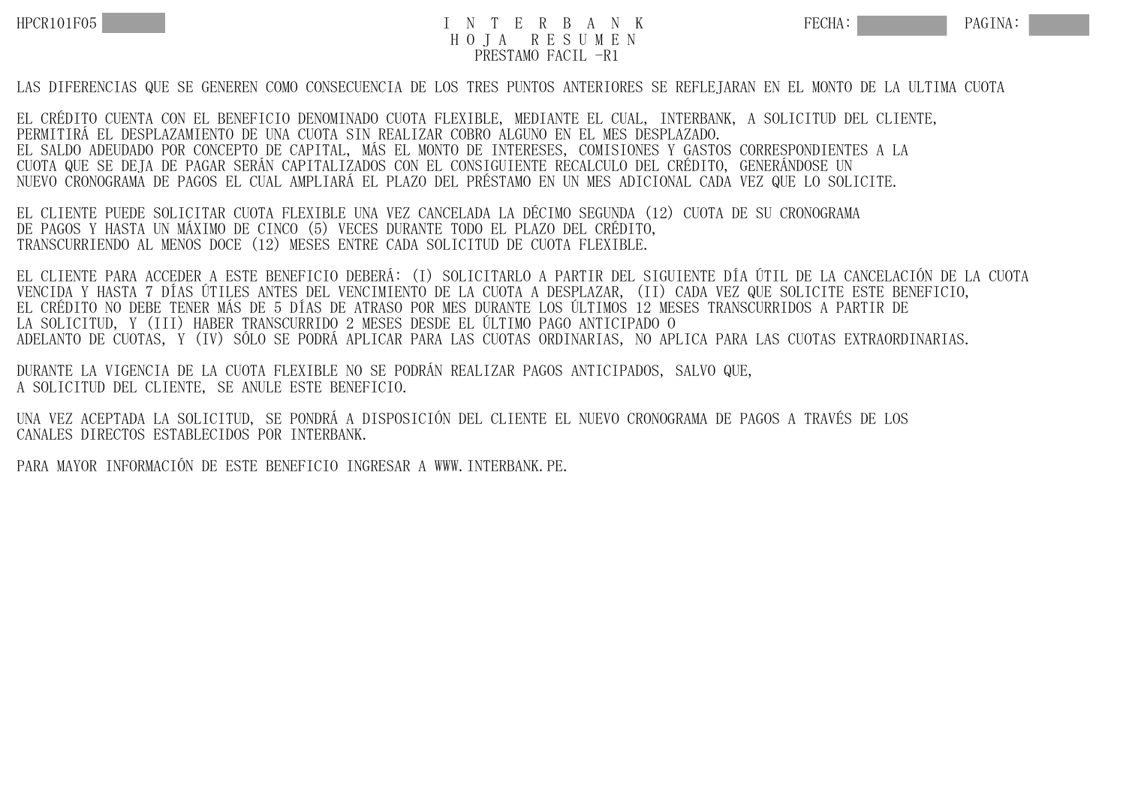## HPCR101F05 TO TER BANK FECHA: PAGINA: H O J A R E S U M E N PRESTAMO FACIL -R1

LAS DIFERENCIAS QUE SE GENEREN COMO CONSECUENCIA DE LOS TRES PUNTOS ANTERIORES SE REFLEJARAN EN EL MONTO DE LA ULTIMA CUOTA

EL CRÉDITO CUENTA CON EL BENEFICIO DENOMINADO CUOTA FLEXIBLE, MEDIANTE EL CUAL, INTERBANK, A SOLICITUD DEL CLIENTE, PERMITIRÁ EL DESPLAZAMIENTO DE UNA CUOTA SIN REALIZAR COBRO ALGUNO EN EL MES DESPLAZADO. EL SALDO ADEUDADO POR CONCEPTO DE CAPITAL, MÁS EL MONTO DE INTERESES, COMISIONES Y GASTOS CORRESPONDIENTES A LA CUOTA QUE SE DEJA DE PAGAR SERÁN CAPITALIZADOS CON EL CONSIGUIENTE RECALCULO DEL CRÉDITO, GENERÁNDOSE UN NUEVO CRONOGRAMA DE PAGOS EL CUAL AMPLIARÁ EL PLAZO DEL PRÉSTAMO EN UN MES ADICIONAL CADA VEZ QUE LO SOLICITE.

EL CLIENTE PUEDE SOLICITAR CUOTA FLEXIBLE UNA VEZ CANCELADA LA DÉCIMO SEGUNDA (12) CUOTA DE SU CRONOGRAMA DE PAGOS Y HASTA UN MÁXIMO DE CINCO (5) VECES DURANTE TODO EL PLAZO DEL CRÉDITO, TRANSCURRIENDO AL MENOS DOCE (12) MESES ENTRE CADA SOLICITUD DE CUOTA FLEXIBLE.

EL CLIENTE PARA ACCEDER A ESTE BENEFICIO DEBERÁ: (I) SOLICITARLO A PARTIR DEL SIGUIENTE DÍA ÚTIL DE LA CANCELACIÓN DE LA CUOTA VENCIDA Y HASTA 7 DÍAS ÚTILES ANTES DEL VENCIMIENTO DE LA CUOTA A DESPLAZAR, (II) CADA VEZ QUE SOLICITE ESTE BENEFICIO, EL CRÉDITO NO DEBE TENER MÁS DE 5 DÍAS DE ATRASO POR MES DURANTE LOS ÚLTIMOS 12 MESES TRANSCURRIDOS A PARTIR DE LA SOLICITUD, Y (III) HABER TRANSCURRIDO 2 MESES DESDE EL ÚLTIMO PAGO ANTICIPADO O ADELANTO DE CUOTAS, Y (IV) SÓLO SE PODRÁ APLICAR PARA LAS CUOTAS ORDINARIAS, NO APLICA PARA LAS CUOTAS EXTRAORDINARIAS.

DURANTE LA VIGENCIA DE LA CUOTA FLEXIBLE NO SE PODRÁN REALIZAR PAGOS ANTICIPADOS, SALVO QUE, A SOLICITUD DEL CLIENTE, SE ANULE ESTE BENEFICIO.

UNA VEZ ACEPTADA LA SOLICITUD, SE PONDRÁ A DISPOSICIÓN DEL CLIENTE EL NUEVO CRONOGRAMA DE PAGOS A TRAVÉS DE LOS CANALES DIRECTOS ESTABLECIDOS POR INTERBANK.

PARA MAYOR INFORMACIÓN DE ESTE BENEFICIO INGRESAR A WWW.INTERBANK.PE.